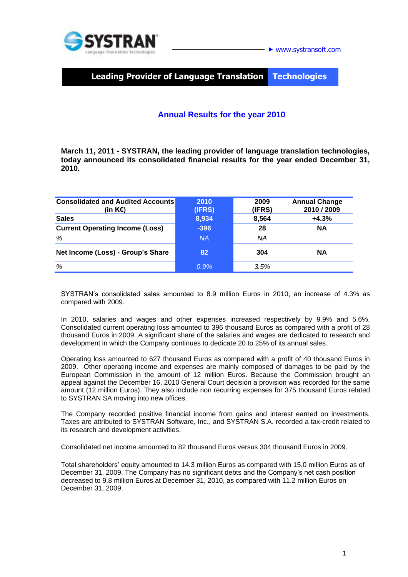

# **Leading Provider of Language Translation Technologies**

### **Annual Results for the year 2010**

**March 11, 2011 - SYSTRAN, the leading provider of language translation technologies, today announced its consolidated financial results for the year ended December 31, 2010.**

| <b>Consolidated and Audited Accounts</b><br>(in K€) | 2010<br>(IFRS) | 2009<br>(IFRS) | <b>Annual Change</b><br>2010 / 2009 |
|-----------------------------------------------------|----------------|----------------|-------------------------------------|
| <b>Sales</b>                                        | 8,934          | 8,564          | $+4.3%$                             |
| <b>Current Operating Income (Loss)</b>              | $-396$         | 28             | <b>NA</b>                           |
| %                                                   | <b>NA</b>      | ΝA             |                                     |
| Net Income (Loss) - Group's Share                   | 82             | 304            | <b>NA</b>                           |
| %                                                   | 0.9%           | 3.5%           |                                     |

SYSTRAN's consolidated sales amounted to 8.9 million Euros in 2010, an increase of 4.3% as compared with 2009.

In 2010, salaries and wages and other expenses increased respectively by 9.9% and 5.6%. Consolidated current operating loss amounted to 396 thousand Euros as compared with a profit of 28 thousand Euros in 2009. A significant share of the salaries and wages are dedicated to research and development in which the Company continues to dedicate 20 to 25% of its annual sales.

Operating loss amounted to 627 thousand Euros as compared with a profit of 40 thousand Euros in 2009. Other operating income and expenses are mainly composed of damages to be paid by the European Commission in the amount of 12 million Euros. Because the Commission brought an appeal against the December 16, 2010 General Court decision a provision was recorded for the same amount (12 million Euros). They also include non recurring expenses for 375 thousand Euros related to SYSTRAN SA moving into new offices.

The Company recorded positive financial income from gains and interest earned on investments. Taxes are attributed to SYSTRAN Software, Inc., and SYSTRAN S.A. recorded a tax-credit related to its research and development activities.

Consolidated net income amounted to 82 thousand Euros versus 304 thousand Euros in 2009.

Total shareholders' equity amounted to 14.3 million Euros as compared with 15.0 million Euros as of December 31, 2009. The Company has no significant debts and the Company's net cash position decreased to 9.8 million Euros at December 31, 2010, as compared with 11.2 million Euros on December 31, 2009.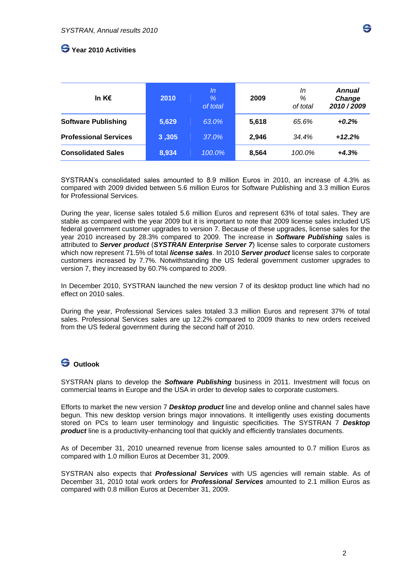## **Year 2010 Activities**

| In K $\epsilon$              | 2010  | ln<br>$\%$<br>of total | 2009  | In<br>%<br>of total | <b>Annual</b><br>Change<br>2010/2009 |
|------------------------------|-------|------------------------|-------|---------------------|--------------------------------------|
| <b>Software Publishing</b>   | 5,629 | 63.0%                  | 5,618 | 65.6%               | $+0.2%$                              |
| <b>Professional Services</b> | 3,305 | 37.0%                  | 2,946 | 34.4%               | $+12.2%$                             |
| <b>Consolidated Sales</b>    | 8,934 | 100.0%                 | 8,564 | 100.0%              | $+4.3%$                              |

SYSTRAN's consolidated sales amounted to 8.9 million Euros in 2010, an increase of 4.3% as compared with 2009 divided between 5.6 million Euros for Software Publishing and 3.3 million Euros for Professional Services.

During the year, license sales totaled 5.6 million Euros and represent 63% of total sales. They are stable as compared with the year 2009 but it is important to note that 2009 license sales included US federal government customer upgrades to version 7. Because of these upgrades, license sales for the year 2010 increased by 28.3% compared to 2009. The increase in *Software Publishing* sales is attributed to *Server product* (*SYSTRAN Enterprise Server 7*) license sales to corporate customers which now represent 71.5% of total *license sales*. In 2010 *Server product* license sales to corporate customers increased by 7.7%. Notwithstanding the US federal government customer upgrades to version 7, they increased by 60.7% compared to 2009.

In December 2010, SYSTRAN launched the new version 7 of its desktop product line which had no effect on 2010 sales.

During the year, Professional Services sales totaled 3.3 million Euros and represent 37% of total sales. Professional Services sales are up 12.2% compared to 2009 thanks to new orders received from the US federal government during the second half of 2010.

### **Outlook**

SYSTRAN plans to develop the *Software Publishing* business in 2011. Investment will focus on commercial teams in Europe and the USA in order to develop sales to corporate customers.

Efforts to market the new version 7 *Desktop product* line and develop online and channel sales have begun. This new desktop version brings major innovations. It intelligently uses existing documents stored on PCs to learn user terminology and linguistic specificities. The SYSTRAN 7 *Desktop product* line is a productivity-enhancing tool that quickly and efficiently translates documents.

As of December 31, 2010 unearned revenue from license sales amounted to 0.7 million Euros as compared with 1.0 million Euros at December 31, 2009.

SYSTRAN also expects that *Professional Services* with US agencies will remain stable. As of December 31, 2010 total work orders for *Professional Services* amounted to 2.1 million Euros as compared with 0.8 million Euros at December 31, 2009.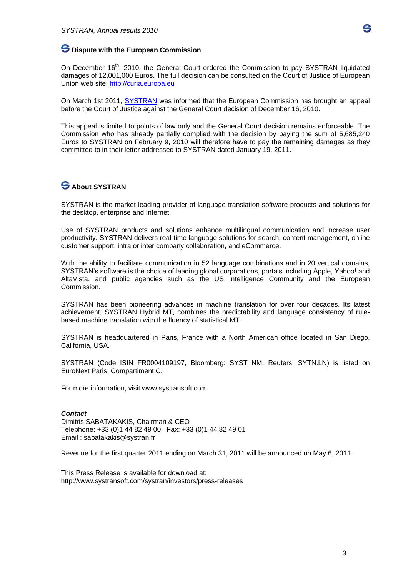

On December 16<sup>th</sup>, 2010, the General Court ordered the Commission to pay SYSTRAN liquidated damages of 12,001,000 Euros. The full decision can be consulted on the Court of Justice of European Union web site: [http://curia.europa.eu](http://curia.europa.eu/)

On March 1st 2011, [SYSTRAN](http://www.systransoft.com/) was informed that the European Commission has brought an appeal before the Court of Justice against the General Court decision of December 16, 2010.

This appeal is limited to points of law only and the General Court decision remains enforceable. The Commission who has already partially complied with the decision by paying the sum of 5,685,240 Euros to SYSTRAN on February 9, 2010 will therefore have to pay the remaining damages as they committed to in their letter addressed to SYSTRAN dated January 19, 2011.

### **About SYSTRAN**

SYSTRAN is the market leading provider of language translation software products and solutions for the desktop, enterprise and Internet.

Use of SYSTRAN products and solutions enhance multilingual communication and increase user productivity. SYSTRAN delivers real-time language solutions for search, content management, online customer support, intra or inter company collaboration, and eCommerce.

With the ability to facilitate communication in 52 language combinations and in 20 vertical domains, SYSTRAN's software is the choice of leading global corporations, portals including Apple, Yahoo! and AltaVista, and public agencies such as the US Intelligence Community and the European Commission.

SYSTRAN has been pioneering advances in machine translation for over four decades. Its latest achievement, SYSTRAN Hybrid MT, combines the predictability and language consistency of rulebased machine translation with the fluency of statistical MT.

SYSTRAN is headquartered in Paris, France with a North American office located in San Diego, California, USA.

SYSTRAN (Code ISIN FR0004109197, Bloomberg: SYST NM, Reuters: SYTN.LN) is listed on EuroNext Paris, Compartiment C.

For more information, visit [www.systransoft.com](http://www.systransoft.com/)

#### *Contact*

Dimitris SABATAKAKIS, Chairman & CEO Telephone: +33 (0)1 44 82 49 00 Fax: +33 (0)1 44 82 49 01 Email : sabatakakis@systran.fr

Revenue for the first quarter 2011 ending on March 31, 2011 will be announced on May 6, 2011.

This Press Release is available for download at: http://www.systransoft.com/systran/investors/press-releases